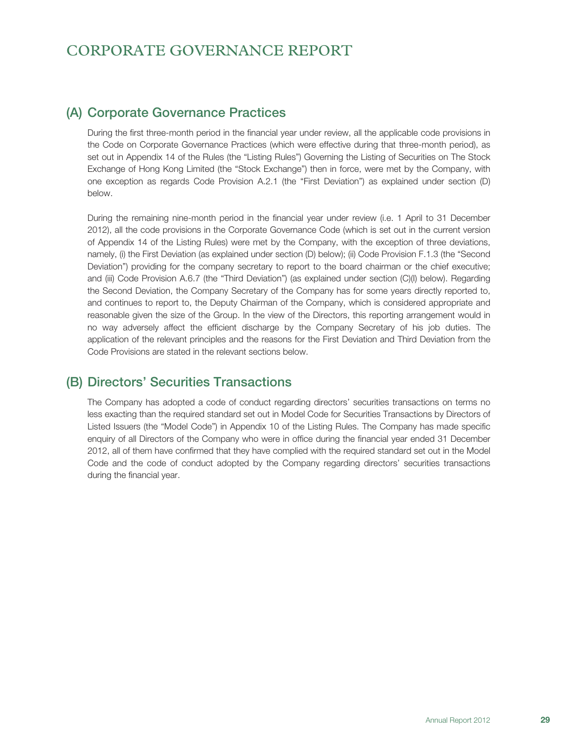# CORPORATE GOVERNANCE REPORT

# (A) Corporate Governance Practices

During the first three-month period in the financial year under review, all the applicable code provisions in the Code on Corporate Governance Practices (which were effective during that three-month period), as set out in Appendix 14 of the Rules (the "Listing Rules") Governing the Listing of Securities on The Stock Exchange of Hong Kong Limited (the "Stock Exchange") then in force, were met by the Company, with one exception as regards Code Provision A.2.1 (the "First Deviation") as explained under section (D) below.

During the remaining nine-month period in the financial year under review (i.e. 1 April to 31 December 2012), all the code provisions in the Corporate Governance Code (which is set out in the current version of Appendix 14 of the Listing Rules) were met by the Company, with the exception of three deviations, namely, (i) the First Deviation (as explained under section (D) below); (ii) Code Provision F.1.3 (the "Second Deviation") providing for the company secretary to report to the board chairman or the chief executive; and (iii) Code Provision A.6.7 (the "Third Deviation") (as explained under section (C)(I) below). Regarding the Second Deviation, the Company Secretary of the Company has for some years directly reported to, and continues to report to, the Deputy Chairman of the Company, which is considered appropriate and reasonable given the size of the Group. In the view of the Directors, this reporting arrangement would in no way adversely affect the efficient discharge by the Company Secretary of his job duties. The application of the relevant principles and the reasons for the First Deviation and Third Deviation from the Code Provisions are stated in the relevant sections below.

# (B) Directors' Securities Transactions

The Company has adopted a code of conduct regarding directors' securities transactions on terms no less exacting than the required standard set out in Model Code for Securities Transactions by Directors of Listed Issuers (the "Model Code") in Appendix 10 of the Listing Rules. The Company has made specific enquiry of all Directors of the Company who were in office during the financial year ended 31 December 2012, all of them have confirmed that they have complied with the required standard set out in the Model Code and the code of conduct adopted by the Company regarding directors' securities transactions during the financial year.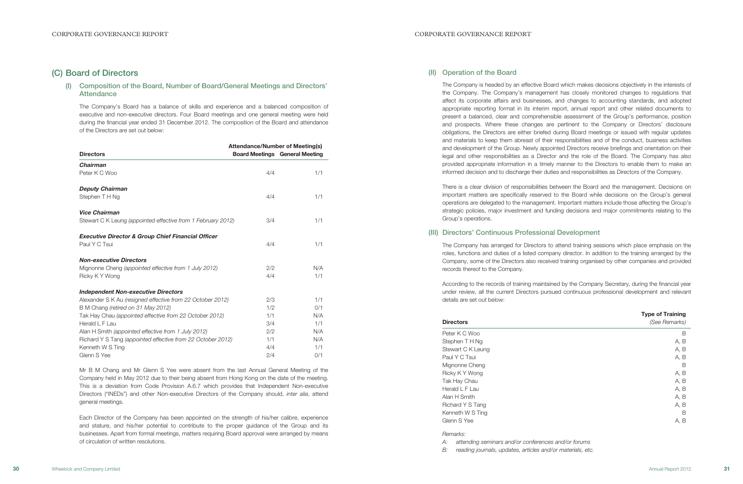## (II) Operation of the Board

The Company is headed by an effective Board which makes decisions objectively in the interests of the Company. The Company's management has closely monitored changes to regulations that affect its corporate affairs and businesses, and changes to accounting standards, and adopted appropriate reporting format in its interim report, annual report and other related documents to present a balanced, clear and comprehensible assessment of the Group's performance, position and prospects. Where these changes are pertinent to the Company or Directors' disclosure obligations, the Directors are either briefed during Board meetings or issued with regular updates and materials to keep them abreast of their responsibilities and of the conduct, business activities and development of the Group. Newly appointed Directors receive briefings and orientation on their legal and other responsibilities as a Director and the role of the Board. The Company has also provided appropriate information in a timely manner to the Directors to enable them to make an informed decision and to discharge their duties and responsibilities as Directors of the Company.

## (I) Composition of the Board, Number of Board/General Meetings and Directors' **Attendance**

There is a clear division of responsibilities between the Board and the management. Decisions on important matters are specifically reserved to the Board while decisions on the Group's general operations are delegated to the management. Important matters include those affecting the Group's strategic policies, major investment and funding decisions and major commitments relating to the Group's operations.

### (III) Directors' Continuous Professional Development

The Company has arranged for Directors to attend training sessions which place emphasis on the roles, functions and duties of a listed company director. In addition to the training arranged by the Company, some of the Directors also received training organised by other companies and provided records thereof to the Company.

According to the records of training maintained by the Company Secretary, during the financial year under review, all the current Directors pursued continuous professional development and relevant details are set out below:

### **Directors**

| <b>Type of Training</b><br>(See Remarks) |
|------------------------------------------|
| B                                        |
| A, B                                     |
| A, B                                     |
| A, B                                     |
| B                                        |
| A, B                                     |
| A, B                                     |
| A, B                                     |
| A, B                                     |
| A, B                                     |
| B                                        |
| A, B                                     |
|                                          |

### Remarks:

A: attending seminars and/or conferences and/or forums

B: reading journals, updates, articles and/or materials, etc.

# (C) Board of Directors

The Company's Board has a balance of skills and experience and a balanced composition of executive and non-executive directors. Four Board meetings and one general meeting were held during the financial year ended 31 December 2012. The composition of the Board and attendance of the Directors are set out below:

|                                                               | <b>Attendance/Number of Meeting(s)</b> |                                       |
|---------------------------------------------------------------|----------------------------------------|---------------------------------------|
| <b>Directors</b>                                              |                                        | <b>Board Meetings General Meeting</b> |
| <b>Chairman</b>                                               |                                        |                                       |
| Peter K C Woo                                                 | 4/4                                    | 1/1                                   |
| <b>Deputy Chairman</b>                                        |                                        |                                       |
| Stephen T H Ng                                                | 4/4                                    | 1/1                                   |
| <b>Vice Chairman</b>                                          |                                        |                                       |
| Stewart C K Leung (appointed effective from 1 February 2012)  | 3/4                                    | 1/1                                   |
| <b>Executive Director &amp; Group Chief Financial Officer</b> |                                        |                                       |
| Paul Y C Tsui                                                 | 4/4                                    | 1/1                                   |
| <b>Non-executive Directors</b>                                |                                        |                                       |
| Mignonne Cheng (appointed effective from 1 July 2012)         | 2/2                                    | N/A                                   |
| Ricky K Y Wong                                                | 4/4                                    | 1/1                                   |
| <b>Independent Non-executive Directors</b>                    |                                        |                                       |
| Alexander S K Au (resigned effective from 22 October 2012)    | 2/3                                    | 1/1                                   |
| B M Chang (retired on 31 May 2012)                            | 1/2                                    | 0/1                                   |
| Tak Hay Chau (appointed effective from 22 October 2012)       | 1/1                                    | N/A                                   |
| Herald L F Lau                                                | 3/4                                    | 1/1                                   |
| Alan H Smith (appointed effective from 1 July 2012)           | 2/2                                    | N/A                                   |
| Richard Y S Tang (appointed effective from 22 October 2012)   | 1/1                                    | N/A                                   |
| Kenneth W S Ting                                              | 4/4                                    | 1/1                                   |
| Glenn S Yee                                                   | 2/4                                    | 0/1                                   |

Mr B M Chang and Mr Glenn S Yee were absent from the last Annual General Meeting of the Company held in May 2012 due to their being absent from Hong Kong on the date of the meeting. This is a deviation from Code Provision A.6.7 which provides that Independent Non-executive Directors ("INEDs") and other Non-executive Directors of the Company should, inter alia, attend general meetings.

Each Director of the Company has been appointed on the strength of his/her calibre, experience and stature, and his/her potential to contribute to the proper guidance of the Group and its businesses. Apart from formal meetings, matters requiring Board approval were arranged by means of circulation of written resolutions.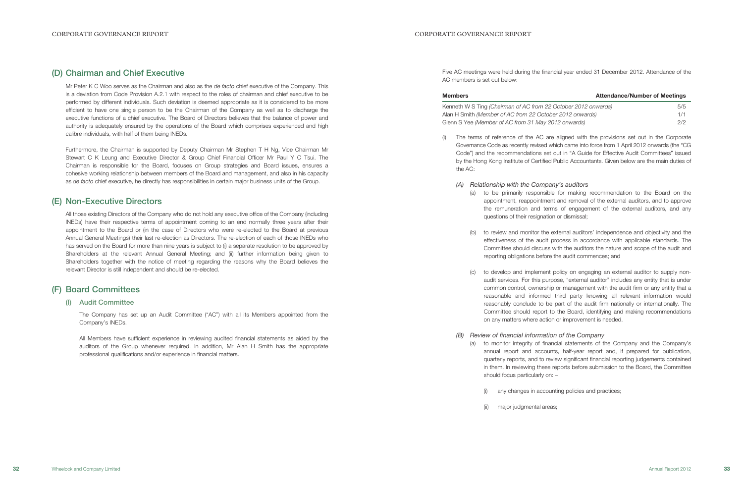Five AC meetings were held during the financial year ended 31 December 2012. Attendance of the

AC members is set out below:

| <b>Members</b>                                                  | <b>Attendance/Number of Meetings</b> |
|-----------------------------------------------------------------|--------------------------------------|
| Kenneth W S Ting (Chairman of AC from 22 October 2012 onwards)  | 5/5                                  |
| Alan H Smith <i>(Member of AC from 22 October 2012 onwards)</i> | 1/1                                  |
| Glenn S Yee (Member of AC from 31 May 2012 onwards)             | 2/2                                  |

(i) The terms of reference of the AC are aligned with the provisions set out in the Corporate Governance Code as recently revised which came into force from 1 April 2012 onwards (the "CG Code") and the recommendations set out in "A Guide for Effective Audit Committees" issued by the Hong Kong Institute of Certified Public Accountants. Given below are the main duties of

(a) to be primarily responsible for making recommendation to the Board on the appointment, reappointment and removal of the external auditors, and to approve the remuneration and terms of engagement of the external auditors, and any

(b) to review and monitor the external auditors' independence and objectivity and the effectiveness of the audit process in accordance with applicable standards. The Committee should discuss with the auditors the nature and scope of the audit and reporting obligations before the audit commences; and

Mr Peter K C Woo serves as the Chairman and also as the de facto chief executive of the Company. This is a deviation from Code Provision A.2.1 with respect to the roles of chairman and chief executive to be performed by different individuals. Such deviation is deemed appropriate as it is considered to be more efficient to have one single person to be the Chairman of the Company as well as to discharge the executive functions of a chief executive. The Board of Directors believes that the balance of power and authority is adequately ensured by the operations of the Board which comprises experienced and high calibre individuals, with half of them being INEDs.

Furthermore, the Chairman is supported by Deputy Chairman Mr Stephen T H Ng, Vice Chairman Mr Stewart C K Leung and Executive Director & Group Chief Financial Officer Mr Paul Y C Tsui. The Chairman is responsible for the Board, focuses on Group strategies and Board issues, ensures a cohesive working relationship between members of the Board and management, and also in his capacity as de facto chief executive, he directly has responsibilities in certain major business units of the Group.

- the AC:
	- (A) Relationship with the Company's auditors
		- questions of their resignation or dismissal;
		-
		-
- (B) Review of financial information of the Company
	- should focus particularly on: –
	-
	- (ii) major judgmental areas;

(c) to develop and implement policy on engaging an external auditor to supply nonaudit services. For this purpose, "external auditor" includes any entity that is under common control, ownership or management with the audit firm or any entity that a reasonable and informed third party knowing all relevant information would reasonably conclude to be part of the audit firm nationally or internationally. The Committee should report to the Board, identifying and making recommendations on any matters where action or improvement is needed.

(a) to monitor integrity of financial statements of the Company and the Company's annual report and accounts, half-year report and, if prepared for publication, quarterly reports, and to review significant financial reporting judgements contained in them. In reviewing these reports before submission to the Board, the Committee

(i) any changes in accounting policies and practices;

## (D) Chairman and Chief Executive

## (E) Non-Executive Directors

All those existing Directors of the Company who do not hold any executive office of the Company (including INEDs) have their respective terms of appointment coming to an end normally three years after their appointment to the Board or (in the case of Directors who were re-elected to the Board at previous Annual General Meetings) their last re-election as Directors. The re-election of each of those INEDs who has served on the Board for more than nine years is subject to (i) a separate resolution to be approved by Shareholders at the relevant Annual General Meeting; and (ii) further information being given to Shareholders together with the notice of meeting regarding the reasons why the Board believes the relevant Director is still independent and should be re-elected.

# (F) Board Committees

## (I) Audit Committee

The Company has set up an Audit Committee ("AC") with all its Members appointed from the Company's INEDs.

All Members have sufficient experience in reviewing audited financial statements as aided by the auditors of the Group whenever required. In addition, Mr Alan H Smith has the appropriate professional qualifications and/or experience in financial matters.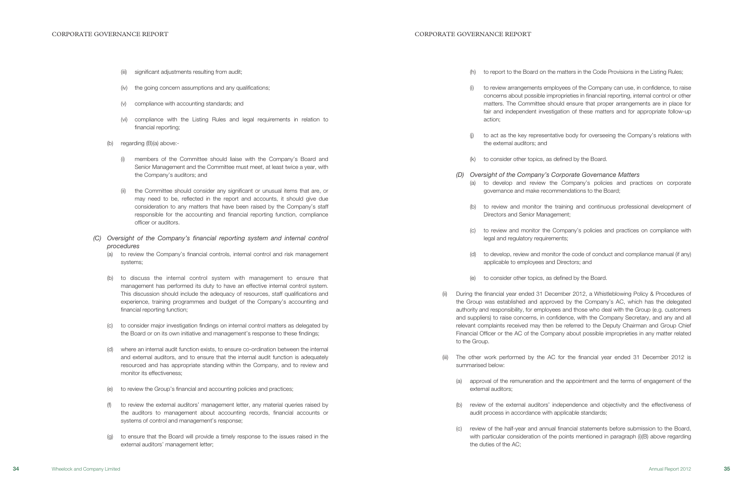(h) to report to the Board on the matters in the Code Provisions in the Listing Rules;

(i) to review arrangements employees of the Company can use, in confidence, to raise concerns about possible improprieties in financial reporting, internal control or other matters. The Committee should ensure that proper arrangements are in place for fair and independent investigation of these matters and for appropriate follow-up

(j) to act as the key representative body for overseeing the Company's relations with

to consider other topics, as defined by the Board.

### (D) Oversight of the Company's Corporate Governance Matters

(a) to develop and review the Company's policies and practices on corporate governance and make recommendations to the Board;

During the financial year ended 31 December 2012, a Whistleblowing Policy & Procedures of the Group was established and approved by the Company's AC, which has the delegated authority and responsibility, for employees and those who deal with the Group (e.g. customers and suppliers) to raise concerns, in confidence, with the Company Secretary, and any and all relevant complaints received may then be referred to the Deputy Chairman and Group Chief Financial Officer or the AC of the Company about possible improprieties in any matter related

(b) to review and monitor the training and continuous professional development of

(c) to review and monitor the Company's policies and practices on compliance with

(c) review of the half-year and annual financial statements before submission to the Board, with particular consideration of the points mentioned in paragraph (i)(B) above regarding

(d) to develop, review and monitor the code of conduct and compliance manual (if any)

- 
- action;
- the external auditors; and
- 
- -
	- Directors and Senior Management;
	- legal and regulatory requirements;
	- applicable to employees and Directors; and
	- (e) to consider other topics, as defined by the Board.
- to the Group.
- summarised below:
	- external auditors;
	- audit process in accordance with applicable standards;
	- the duties of the AC;

(iii) The other work performed by the AC for the financial year ended 31 December 2012 is

(a) approval of the remuneration and the appointment and the terms of engagement of the

(b) review of the external auditors' independence and objectivity and the effectiveness of

- (iii) significant adjustments resulting from audit;
- (iv) the going concern assumptions and any qualifications;
- (v) compliance with accounting standards; and
- (vi) compliance with the Listing Rules and legal requirements in relation to financial reporting;
- (b) regarding (B)(a) above:-
	- (i) members of the Committee should liaise with the Company's Board and Senior Management and the Committee must meet, at least twice a year, with the Company's auditors; and
	- (ii) the Committee should consider any significant or unusual items that are, or may need to be, reflected in the report and accounts, it should give due consideration to any matters that have been raised by the Company's staff responsible for the accounting and financial reporting function, compliance officer or auditors.
- (C) Oversight of the Company's financial reporting system and internal control procedures
	- (a) to review the Company's financial controls, internal control and risk management systems;
	- (b) to discuss the internal control system with management to ensure that management has performed its duty to have an effective internal control system. This discussion should include the adequacy of resources, staff qualifications and experience, training programmes and budget of the Company's accounting and financial reporting function;
	- (c) to consider major investigation findings on internal control matters as delegated by the Board or on its own initiative and management's response to these findings;
	- (d) where an internal audit function exists, to ensure co-ordination between the internal and external auditors, and to ensure that the internal audit function is adequately resourced and has appropriate standing within the Company, and to review and monitor its effectiveness;
	- (e) to review the Group's financial and accounting policies and practices;
	- (f) to review the external auditors' management letter, any material queries raised by the auditors to management about accounting records, financial accounts or systems of control and management's response;
	- (g) to ensure that the Board will provide a timely response to the issues raised in the external auditors' management letter;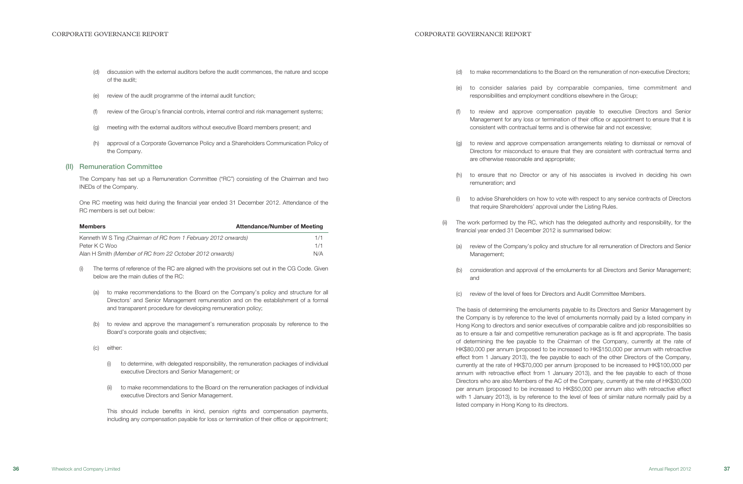(d) to make recommendations to the Board on the remuneration of non-executive Directors;

(e) to consider salaries paid by comparable companies, time commitment and responsibilities and employment conditions elsewhere in the Group;

to review and approve compensation arrangements relating to dismissal or removal of Directors for misconduct to ensure that they are consistent with contractual terms and

(f) to review and approve compensation payable to executive Directors and Senior Management for any loss or termination of their office or appointment to ensure that it is consistent with contractual terms and is otherwise fair and not excessive;

(h) to ensure that no Director or any of his associates is involved in deciding his own

(i) to advise Shareholders on how to vote with respect to any service contracts of Directors

- 
- 
- 
- are otherwise reasonable and appropriate;
- remuneration; and
- that require Shareholders' approval under the Listing Rules.
- financial year ended 31 December 2012 is summarised below:
	- Management;
	- and
	-

(ii) The work performed by the RC, which has the delegated authority and responsibility, for the

(a) review of the Company's policy and structure for all remuneration of Directors and Senior

(b) consideration and approval of the emoluments for all Directors and Senior Management;

(c) review of the level of fees for Directors and Audit Committee Members.

The basis of determining the emoluments payable to its Directors and Senior Management by the Company is by reference to the level of emoluments normally paid by a listed company in Hong Kong to directors and senior executives of comparable calibre and job responsibilities so as to ensure a fair and competitive remuneration package as is fit and appropriate. The basis of determining the fee payable to the Chairman of the Company, currently at the rate of HK\$80,000 per annum (proposed to be increased to HK\$150,000 per annum with retroactive effect from 1 January 2013), the fee payable to each of the other Directors of the Company, currently at the rate of HK\$70,000 per annum (proposed to be increased to HK\$100,000 per annum with retroactive effect from 1 January 2013), and the fee payable to each of those Directors who are also Members of the AC of the Company, currently at the rate of HK\$30,000 per annum (proposed to be increased to HK\$50,000 per annum also with retroactive effect with 1 January 2013), is by reference to the level of fees of similar nature normally paid by a listed company in Hong Kong to its directors.

- (d) discussion with the external auditors before the audit commences, the nature and scope of the audit;
- (e) review of the audit programme of the internal audit function;
- (f) review of the Group's financial controls, internal control and risk management systems;
- (g) meeting with the external auditors without executive Board members present; and
- (h) approval of a Corporate Governance Policy and a Shareholders Communication Policy of the Company.

### (II) Remuneration Committee

The Company has set up a Remuneration Committee ("RC") consisting of the Chairman and two INEDs of the Company.

One RC meeting was held during the financial year ended 31 December 2012. Attendance of the RC members is set out below:

| <b>Members</b>                                                 | <b>Attendance/Number of Meeting</b> |
|----------------------------------------------------------------|-------------------------------------|
| Kenneth W S Ting (Chairman of RC from 1 February 2012 onwards) | 1/1                                 |
| Peter K C Woo                                                  | 1/1                                 |
| Alan H Smith (Member of RC from 22 October 2012 onwards)       | N/A                                 |

- (i) The terms of reference of the RC are aligned with the provisions set out in the CG Code. Given below are the main duties of the RC:
	- (a) to make recommendations to the Board on the Company's policy and structure for all Directors' and Senior Management remuneration and on the establishment of a formal and transparent procedure for developing remuneration policy;
	- (b) to review and approve the management's remuneration proposals by reference to the Board's corporate goals and objectives;
	- (c) either:
		- (i) to determine, with delegated responsibility, the remuneration packages of individual executive Directors and Senior Management; or
		- (ii) to make recommendations to the Board on the remuneration packages of individual executive Directors and Senior Management.

This should include benefits in kind, pension rights and compensation payments, including any compensation payable for loss or termination of their office or appointment;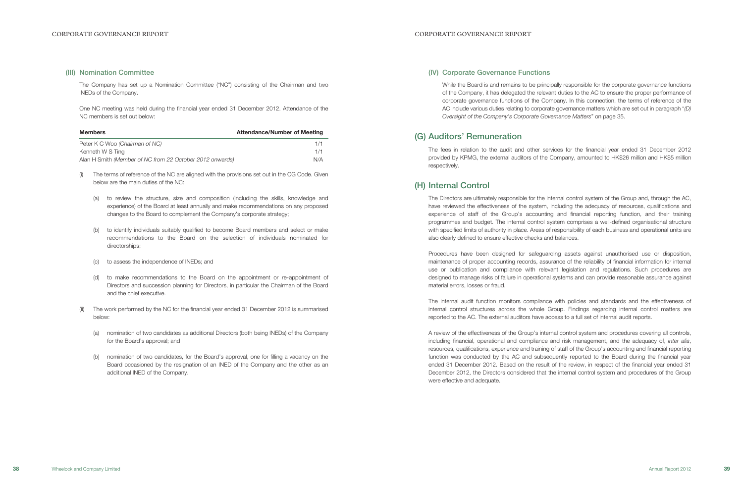### (IV) Corporate Governance Functions

While the Board is and remains to be principally responsible for the corporate governance functions of the Company, it has delegated the relevant duties to the AC to ensure the proper performance of corporate governance functions of the Company. In this connection, the terms of reference of the AC include various duties relating to corporate governance matters which are set out in paragraph "(D) Oversight of the Company's Corporate Governance Matters" on page 35.

# (G) Auditors' Remuneration

The fees in relation to the audit and other services for the financial year ended 31 December 2012 provided by KPMG, the external auditors of the Company, amounted to HK\$26 million and HK\$5 million respectively.

## (H) Internal Control

The Directors are ultimately responsible for the internal control system of the Group and, through the AC, have reviewed the effectiveness of the system, including the adequacy of resources, qualifications and experience of staff of the Group's accounting and financial reporting function, and their training programmes and budget. The internal control system comprises a well-defined organisational structure with specified limits of authority in place. Areas of responsibility of each business and operational units are also clearly defined to ensure effective checks and balances.

Procedures have been designed for safeguarding assets against unauthorised use or disposition, maintenance of proper accounting records, assurance of the reliability of financial information for internal use or publication and compliance with relevant legislation and regulations. Such procedures are designed to manage risks of failure in operational systems and can provide reasonable assurance against material errors, losses or fraud.

The internal audit function monitors compliance with policies and standards and the effectiveness of internal control structures across the whole Group. Findings regarding internal control matters are reported to the AC. The external auditors have access to a full set of internal audit reports.

A review of the effectiveness of the Group's internal control system and procedures covering all controls, including financial, operational and compliance and risk management, and the adequacy of, inter alia, resources, qualifications, experience and training of staff of the Group's accounting and financial reporting function was conducted by the AC and subsequently reported to the Board during the financial year ended 31 December 2012. Based on the result of the review, in respect of the financial year ended 31 December 2012, the Directors considered that the internal control system and procedures of the Group were effective and adequate.

### (III) Nomination Committee

The Company has set up a Nomination Committee ("NC") consisting of the Chairman and two INEDs of the Company.

One NC meeting was held during the financial year ended 31 December 2012. Attendance of the NC members is set out below:

| <b>Members</b>                                           | <b>Attendance/Number of Meeting</b> |
|----------------------------------------------------------|-------------------------------------|
| Peter K C Woo (Chairman of NC)                           | 1/1                                 |
| Kenneth W S Ting                                         | 1/1                                 |
| Alan H Smith (Member of NC from 22 October 2012 onwards) | N/A                                 |

- (i) The terms of reference of the NC are aligned with the provisions set out in the CG Code. Given below are the main duties of the NC:
	- (a) to review the structure, size and composition (including the skills, knowledge and experience) of the Board at least annually and make recommendations on any proposed changes to the Board to complement the Company's corporate strategy;
	- (b) to identify individuals suitably qualified to become Board members and select or make recommendations to the Board on the selection of individuals nominated for directorships;
	- (c) to assess the independence of INEDs; and
	- (d) to make recommendations to the Board on the appointment or re-appointment of Directors and succession planning for Directors, in particular the Chairman of the Board and the chief executive.
- (ii) The work performed by the NC for the financial year ended 31 December 2012 is summarised below:
	- (a) nomination of two candidates as additional Directors (both being INEDs) of the Company for the Board's approval; and
	- (b) nomination of two candidates, for the Board's approval, one for filling a vacancy on the Board occasioned by the resignation of an INED of the Company and the other as an additional INED of the Company.